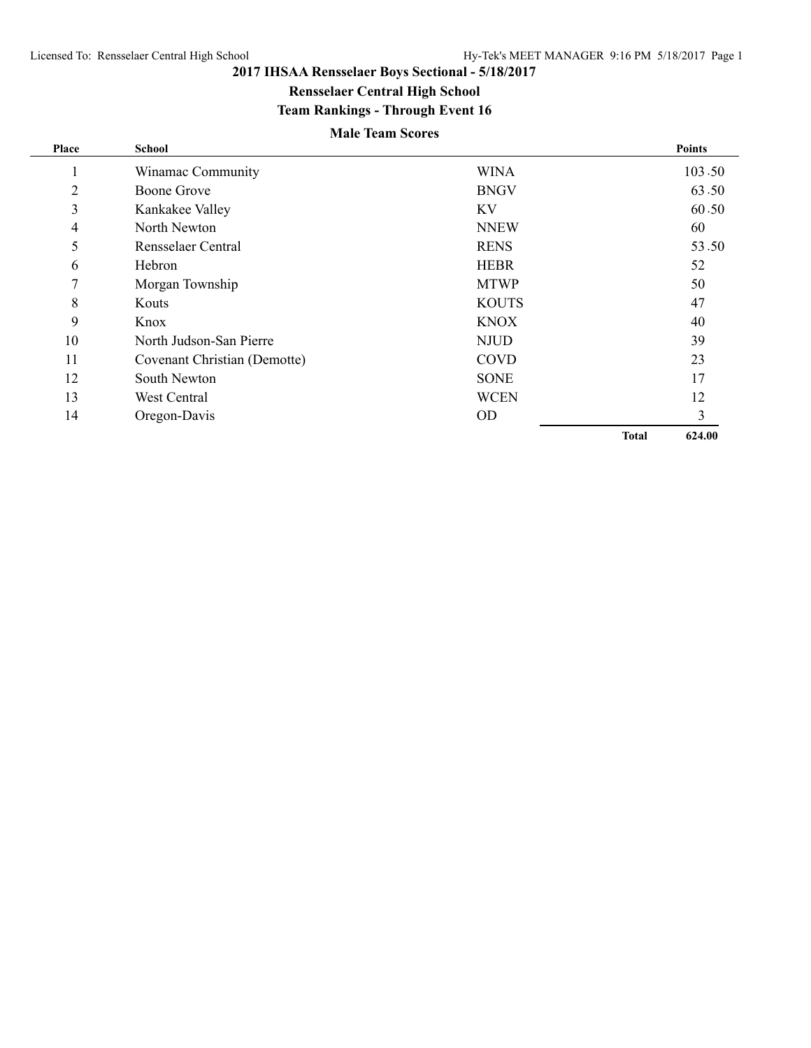$\overline{\phantom{0}}$ 

# **2017 IHSAA Rensselaer Boys Sectional - 5/18/2017**

**Rensselaer Central High School**

# **Team Rankings - Through Event 16**

# **Male Team Scores**

| Place          | <b>School</b>                |              |              | <b>Points</b> |
|----------------|------------------------------|--------------|--------------|---------------|
| л.             | Winamac Community            | <b>WINA</b>  |              | 103.50        |
| $\overline{2}$ | <b>Boone Grove</b>           | <b>BNGV</b>  |              | 63.50         |
| 3              | Kankakee Valley              | KV           |              | 60.50         |
| 4              | North Newton                 | <b>NNEW</b>  |              | 60            |
| 5              | Rensselaer Central           | <b>RENS</b>  |              | 53.50         |
| 6              | Hebron                       | <b>HEBR</b>  |              | 52            |
| 7              | Morgan Township              | <b>MTWP</b>  |              | 50            |
| 8              | Kouts                        | <b>KOUTS</b> |              | 47            |
| 9              | Knox                         | <b>KNOX</b>  |              | 40            |
| 10             | North Judson-San Pierre      | <b>NJUD</b>  |              | 39            |
| 11             | Covenant Christian (Demotte) | <b>COVD</b>  |              | 23            |
| 12             | South Newton                 | <b>SONE</b>  |              | 17            |
| 13             | West Central                 | <b>WCEN</b>  |              | 12            |
| 14             | Oregon-Davis                 | <b>OD</b>    |              | 3             |
|                |                              |              | <b>Total</b> | 624.00        |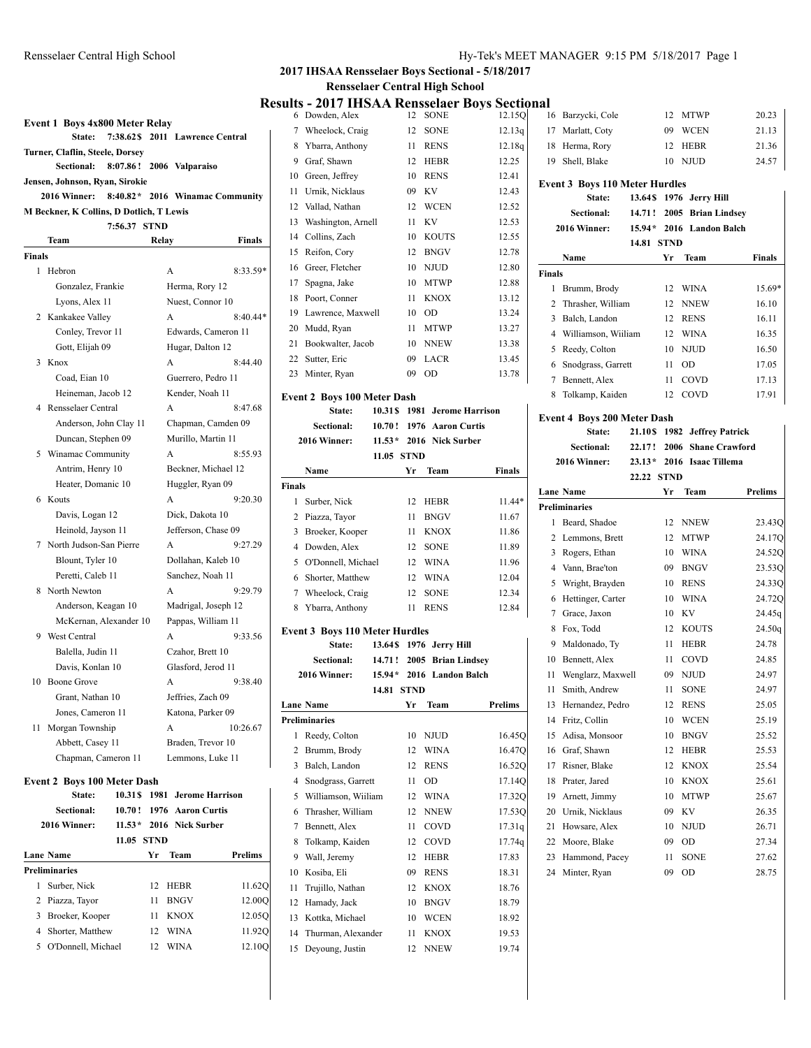**Event 1 Boys 4x800 Meter Relay**

**State: 7:38.62\$ 2011 Lawrence Central**

 $\mathbf{I}$ 

#### Rensselaer Central High School Hy-Tek's MEET MANAGER 9:15 PM 5/18/2017 Page 1 **2017 IHSAA Rensselaer Boys Sectional - 5/18/2017**

**Rensselaer Central High School**

# **Results - 2017 IHSAA Rensselaer Boys Sectional**

|        | Turner, Claflin, Steele, Dorsey          |          |             |                          |                                 |
|--------|------------------------------------------|----------|-------------|--------------------------|---------------------------------|
|        | Sectional:                               |          |             | 8:07.86! 2006 Valparaiso |                                 |
|        | Jensen, Johnson, Ryan, Sirokie           |          |             |                          |                                 |
|        | 2016 Winner:                             |          |             |                          | 8:40.82* 2016 Winamac Community |
|        | M Beckner, K Collins, D Dotlich, T Lewis |          |             |                          |                                 |
|        |                                          | 7:56.37  | <b>STND</b> |                          |                                 |
|        | Team                                     |          | Relay       |                          | Finals                          |
| Finals |                                          |          |             |                          |                                 |
| 1      | Hebron                                   |          | A           |                          | $8:33.59*$                      |
|        | Gonzalez, Frankie                        |          |             | Herma, Rory 12           |                                 |
|        | Lyons, Alex 11                           |          |             | Nuest, Connor 10         |                                 |
|        | 2 Kankakee Valley                        |          | A           |                          | $8:40.44*$                      |
|        | Conley, Trevor 11                        |          |             |                          | Edwards, Cameron 11             |
|        | Gott, Elijah 09                          |          |             | Hugar, Dalton 12         |                                 |
| 3      | Knox                                     |          | A           |                          | 8:44.40                         |
|        | Coad, Eian 10                            |          |             | Guerrero, Pedro 11       |                                 |
|        | Heineman, Jacob 12                       |          |             | Kender, Noah 11          |                                 |
| 4      | Rensselaer Central                       |          | A           |                          | 8:47.68                         |
|        | Anderson, John Clay 11                   |          |             |                          | Chapman, Camden 09              |
|        | Duncan, Stephen 09                       |          |             | Murillo, Martin 11       |                                 |
| 5      | Winamac Community                        |          | A           |                          | 8:55.93                         |
|        | Antrim, Henry 10                         |          |             | Beckner, Michael 12      |                                 |
|        | Heater, Domanic 10                       |          |             | Huggler, Ryan 09         |                                 |
| 6      | Kouts                                    |          | A           |                          | 9:20.30                         |
|        | Davis, Logan 12                          |          |             | Dick, Dakota 10          |                                 |
|        | Heinold, Jayson 11                       |          |             | Jefferson, Chase 09      |                                 |
| 7      | North Judson-San Pierre                  |          | A           |                          | 9:27.29                         |
|        | Blount, Tyler 10                         |          |             | Dollahan, Kaleb 10       |                                 |
|        | Peretti, Caleb 11                        |          |             | Sanchez, Noah 11         |                                 |
| 8      | North Newton                             |          | A           |                          | 9:29.79                         |
|        | Anderson, Keagan 10                      |          |             | Madrigal, Joseph 12      |                                 |
|        | McKernan, Alexander 10                   |          |             | Pappas, William 11       |                                 |
| 9      | West Central                             |          | A           |                          | 9:33.56                         |
|        | Balella, Judin 11                        |          |             | Czahor, Brett 10         |                                 |
|        | Davis, Konlan 10                         |          |             | Glasford, Jerod 11       |                                 |
| 10     | <b>Boone Grove</b>                       |          | A           |                          | 9:38.40                         |
|        | Grant, Nathan 10                         |          |             | Jeffries, Zach 09        |                                 |
|        | Jones, Cameron 11                        |          |             | Katona, Parker 09        |                                 |
| 11     | Morgan Township                          |          | А           |                          | 10:26.67                        |
|        | Abbett, Casey 11                         |          |             | Braden, Trevor 10        |                                 |
|        | Chapman, Cameron 11                      |          |             | Lemmons, Luke 11         |                                 |
|        | <b>Event 2 Boys 100 Meter Dash</b>       |          |             |                          |                                 |
|        | State:                                   | 10.31\$  | 1981        | <b>Jerome Harrison</b>   |                                 |
|        | Sectional:                               | 10.70!   | 1976        | <b>Aaron Curtis</b>      |                                 |
|        | 2016 Winner:                             | $11.53*$ |             | 2016 Nick Surber         |                                 |
|        |                                          | 11.05    | <b>STND</b> |                          |                                 |
|        | <b>Lane Name</b>                         |          | Yr          | Team                     | Prelims                         |
|        | <b>Preliminaries</b>                     |          |             |                          |                                 |
| 1      | Surber, Nick                             |          | 12          | HEBR                     | 11.62Q                          |
|        | 2 Piazza, Tayor                          |          | 11          | <b>BNGV</b>              | 12.00Q                          |
| 3      | Broeker, Kooper                          |          | 11          | KNOX                     | 12.05Q                          |
| 4      | Shorter, Matthew                         |          | 12          | <b>WINA</b>              | 11.92Q                          |

5 O'Donnell, Michael 12 WINA 12.10Q

|    | Its - 2017 IHSAA Rensselaer Bovs Sectio |    |              |        |
|----|-----------------------------------------|----|--------------|--------|
| 6  | Dowden, Alex                            | 12 | <b>SONE</b>  | 12.15Q |
| 7  | Wheelock, Craig                         | 12 | <b>SONE</b>  | 12.13q |
| 8  | Ybarra, Anthony                         | 11 | <b>RENS</b>  | 12.18q |
| 9  | Graf, Shawn                             | 12 | <b>HEBR</b>  | 12.25  |
| 10 | Green, Jeffrey                          | 10 | <b>RENS</b>  | 12.41  |
| 11 | Urnik, Nicklaus                         | 09 | KV           | 12.43  |
| 12 | Vallad, Nathan                          | 12 | <b>WCEN</b>  | 12.52  |
| 13 | Washington, Arnell                      | 11 | KV           | 12.53  |
| 14 | Collins, Zach                           | 10 | <b>KOUTS</b> | 12.55  |
| 15 | Reifon, Cory                            | 12 | <b>BNGV</b>  | 12.78  |
| 16 | Greer, Fletcher                         | 10 | <b>NJUD</b>  | 12.80  |
| 17 | Spagna, Jake                            | 10 | <b>MTWP</b>  | 12.88  |
| 18 | Poort, Conner                           | 11 | <b>KNOX</b>  | 13.12  |
| 19 | Lawrence, Maxwell                       | 10 | OD           | 13.24  |
| 20 | Mudd, Ryan                              | 11 | MTWP         | 13.27  |
| 21 | Bookwalter, Jacob                       | 10 | <b>NNEW</b>  | 13.38  |
| 22 | Sutter, Eric                            | 09 | <b>LACR</b>  | 13.45  |
| 23 | Minter, Ryan                            | 09 | OD           | 13.78  |
|    |                                         |    |              |        |

#### **Event 2 Boys 100 Meter Dash State: 10.31\$ 1981 Jerome Harrison Sectional: 10.70 ! 1976 Aaron Curtis 2016 Winner: 11.53\* 2016 Nick Surber 11.05 STND Name Yr Team Finals Finals** 1 Surber, Nick 12 HEBR 11.44\* 2 Piazza, Tayor 11 BNGV 11.67 3 Broeker, Kooper 11 KNOX 11.86 4 Dowden, Alex 12 SONE 11.89 5 O'Donnell, Michael 12 WINA 11.96 6 Shorter, Matthew 12 WINA 12.04 7 Wheelock, Craig 12 SONE 12.34 8 Ybarra, Anthony 11 RENS 12.84

#### **Event 3 Boys 110 Meter Hurdles**

|                | State:               | 13.64\$  |             | 1976 Jerry Hill    |                |
|----------------|----------------------|----------|-------------|--------------------|----------------|
|                | <b>Sectional:</b>    | 14.71!   |             | 2005 Brian Lindsey |                |
|                | 2016 Winner:         | $15.94*$ |             | 2016 Landon Balch  |                |
|                |                      | 14.81    | <b>STND</b> |                    |                |
|                | <b>Lane Name</b>     |          | Yr          | Team               | <b>Prelims</b> |
|                | <b>Preliminaries</b> |          |             |                    |                |
| 1              | Reedy, Colton        |          | 10          | <b>NJUD</b>        | 16.45Q         |
| $\overline{c}$ | Brumm, Brody         |          | 12          | <b>WINA</b>        | 16.47Q         |
| 3              | Balch, Landon        |          | 12          | <b>RENS</b>        | 16.52Q         |
| $\overline{4}$ | Snodgrass, Garrett   |          | 11          | OD                 | 17.14Q         |
| 5              | Williamson, Wiiliam  |          | 12          | <b>WINA</b>        | 17.32Q         |
| 6              | Thrasher, William    |          | 12          | <b>NNEW</b>        | 17.53Q         |
| 7              | Bennett, Alex        |          | 11          | COVD               | 17.31q         |
| 8              | Tolkamp, Kaiden      |          | 12          | COVD               | 17.74q         |
| 9              | Wall, Jeremy         |          | 12          | <b>HEBR</b>        | 17.83          |
| 10             | Kosiba. Eli          |          | 09          | <b>RENS</b>        | 18.31          |
| 11             | Trujillo, Nathan     |          | 12          | <b>KNOX</b>        | 18.76          |
| 12             | Hamady, Jack         |          | 10          | <b>BNGV</b>        | 18.79          |
| 13             | Kottka, Michael      |          | 10          | <b>WCEN</b>        | 18.92          |
| 14             | Thurman, Alexander   |          | 11          | <b>KNOX</b>        | 19.53          |
| 15             | Devoung, Justin      |          | 12          | <b>NNEW</b>        | 19.74          |

| 16             | Barzycki, Cole                        |          | 12          | <b>MTWP</b>        | 20.23         |  |  |
|----------------|---------------------------------------|----------|-------------|--------------------|---------------|--|--|
| 17             | Marlatt, Coty                         |          | 09          | WCEN               | 21.13         |  |  |
| 18             | Herma, Rory                           |          | 12          | <b>HEBR</b>        | 21.36         |  |  |
| 19             | Shell, Blake                          |          | 10          | <b>NJUD</b>        | 24.57         |  |  |
|                | <b>Event 3 Boys 110 Meter Hurdles</b> |          |             |                    |               |  |  |
|                | State:                                | 13.64\$  |             | 1976 Jerry Hill    |               |  |  |
|                | <b>Sectional:</b>                     | 14.71!   |             | 2005 Brian Lindsey |               |  |  |
|                | 2016 Winner:                          | $15.94*$ |             | 2016 Landon Balch  |               |  |  |
|                |                                       | 14.81    | <b>STND</b> |                    |               |  |  |
|                | Name                                  |          | Yr          | Team               | <b>Finals</b> |  |  |
| <b>Finals</b>  |                                       |          |             |                    |               |  |  |
| 1              | Brumm, Brody                          |          | 12          | <b>WINA</b>        | 15.69*        |  |  |
| $\overline{c}$ |                                       |          |             |                    |               |  |  |
|                | Thrasher, William                     |          | 12          | <b>NNEW</b>        | 16.10         |  |  |
| 3              | Balch, Landon                         |          | 12          | <b>RENS</b>        | 16.11         |  |  |
| $\overline{4}$ | Williamson, Wiiliam                   |          | 12          | <b>WINA</b>        | 16.35         |  |  |
| 5              | Reedy, Colton                         |          | 10          | <b>NJUD</b>        | 16.50         |  |  |
| 6              | Snodgrass, Garrett                    |          | 11          | OD                 | 17.05         |  |  |
| 7              | Bennett, Alex                         |          | 11          | COVD               | 17.13         |  |  |
| 8              | Tolkamp, Kaiden                       |          | 12          | COVD               | 17.91         |  |  |

#### **Event 4 Boys 200 Meter Dash**

|    | State:               | 21.10\$    | 1982 | <b>Jeffrey Patrick</b> |                |
|----|----------------------|------------|------|------------------------|----------------|
|    | <b>Sectional:</b>    | 22.17!     | 2006 | <b>Shane Crawford</b>  |                |
|    | 2016 Winner:         | $23.13*$   |      | 2016 Isaac Tillema     |                |
|    |                      | 22.22 STND |      |                        |                |
|    | <b>Lane Name</b>     |            | Yr   | <b>Team</b>            | <b>Prelims</b> |
|    | <b>Preliminaries</b> |            |      |                        |                |
| 1  | Beard, Shadoe        |            | 12   | <b>NNEW</b>            | 23.43Q         |
| 2  | Lemmons, Brett       |            | 12   | <b>MTWP</b>            | 24.17Q         |
| 3  | Rogers, Ethan        |            | 10   | <b>WINA</b>            | 24.52Q         |
| 4  | Vann, Brae'ton       |            | 09   | <b>BNGV</b>            | 23.530         |
| 5  | Wright, Brayden      |            | 10   | <b>RENS</b>            | 24.33Q         |
| 6  | Hettinger, Carter    |            | 10   | <b>WINA</b>            | 24.72Q         |
| 7  | Grace, Jaxon         |            | 10   | KV                     | 24.45g         |
| 8  | Fox, Todd            |            | 12   | <b>KOUTS</b>           | 24.50q         |
| 9  | Maldonado, Ty        |            | 11   | <b>HEBR</b>            | 24.78          |
| 10 | Bennett, Alex        |            | 11   | COVD                   | 24.85          |
| 11 | Wenglarz, Maxwell    |            | 09   | <b>NJUD</b>            | 24.97          |
| 11 | Smith, Andrew        |            | 11   | <b>SONE</b>            | 24.97          |
| 13 | Hernandez, Pedro     |            | 12   | <b>RENS</b>            | 25.05          |
| 14 | Fritz, Collin        |            | 10   | <b>WCEN</b>            | 25.19          |
| 15 | Adisa, Monsoor       |            | 10   | <b>BNGV</b>            | 25.52          |
| 16 | Graf, Shawn          |            | 12   | HEBR                   | 25.53          |
| 17 | Risner, Blake        |            | 12   | <b>KNOX</b>            | 25.54          |
| 18 | Prater, Jared        |            | 10   | <b>KNOX</b>            | 25.61          |
| 19 | Arnett, Jimmy        |            | 10   | <b>MTWP</b>            | 25.67          |
| 20 | Urnik, Nicklaus      |            | 09   | KV.                    | 26.35          |
| 21 | Howsare, Alex        |            | 10   | <b>NJUD</b>            | 26.71          |
| 22 | Moore, Blake         |            | 09   | OD                     | 27.34          |
| 23 | Hammond, Pacey       |            | 11   | <b>SONE</b>            | 27.62          |
| 24 | Minter, Ryan         |            | 09   | OD                     | 28.75          |
|    |                      |            |      |                        |                |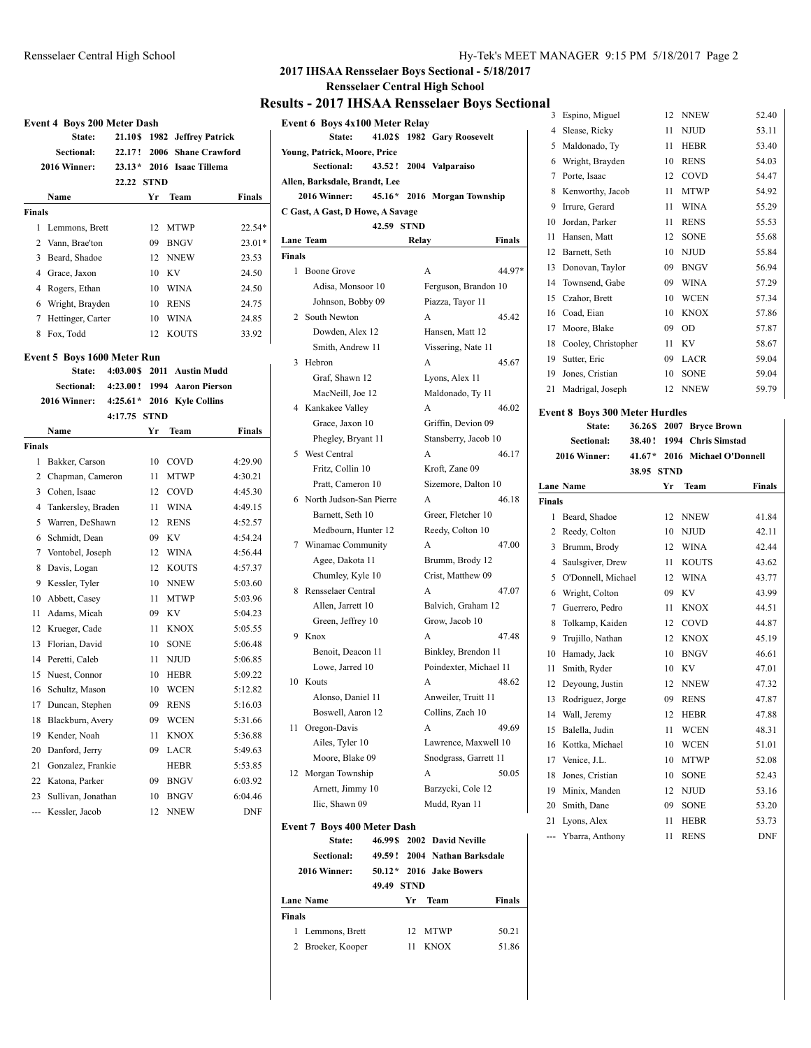#### **2017 IHSAA Rensselaer Boys Sectional - 5/18/2017**

**Rensselaer Central High School**

#### **Results - 2017 IHSAA Rensselaer Boys Sectional**

|               | <b>Event 4 Boys 200 Meter Dash</b> |                |             |                       |               |
|---------------|------------------------------------|----------------|-------------|-----------------------|---------------|
|               | State:                             | <b>21.10 S</b> |             | 1982 Jeffrey Patrick  |               |
|               | <b>Sectional:</b>                  | 22.17 !        | 2006        | <b>Shane Crawford</b> |               |
|               | 2016 Winner:                       | $23.13*$       |             | 2016 Isaac Tillema    |               |
|               |                                    | 22.22          | <b>STND</b> |                       |               |
|               | Name                               |                | Yr          | Team                  | <b>Finals</b> |
| <b>Finals</b> |                                    |                |             |                       |               |
| 1             | Lemmons, Brett                     |                | 12          | <b>MTWP</b>           | 22.54*        |
| 2             | Vann, Brae'ton                     |                | 09          | <b>BNGV</b>           | 23.01*        |
| 3             | Beard, Shadoe                      |                | 12          | <b>NNEW</b>           | 23.53         |
|               | 4 Grace, Jaxon                     |                | 10          | KV                    | 24.50         |
|               | 4 Rogers, Ethan                    |                | 10          | <b>WINA</b>           | 24.50         |
| 6             | Wright, Brayden                    |                | 10          | <b>RENS</b>           | 24.75         |
| 7             | Hettinger, Carter                  |                | 10          | <b>WINA</b>           | 24.85         |
| 8             | Fox, Todd                          |                | 12          | <b>KOUTS</b>          | 33.92         |
|               | Event 5 Boys 1600 Meter Run        |                |             |                       |               |
|               | State:                             | 4:03.00\$      |             | 2011 Austin Mudd      |               |
|               | <b>Sectional:</b>                  | 4:23.00!       |             | 1994 Aaron Pierson    |               |
|               | 2016 Winner:                       | $4:25.61*$     |             | 2016 Kyle Collins     |               |
|               |                                    | 4:17.75        | <b>STND</b> |                       |               |
|               | Name                               |                | Yr          | Team                  | Finals        |
| Finals        |                                    |                |             |                       |               |
| 1             | Bakker, Carson                     |                | 10          | COVD                  | 4:29.90       |
| 2             | Chapman, Cameron                   |                | 11          | <b>MTWP</b>           | 4:30.21       |
| 3             | Cohen, Isaac                       |                | 12          | COVD                  | 4:45.30       |
| 4             | Tankersley, Braden                 |                | 11          | <b>WINA</b>           | 4:49.15       |
| 5             | Warren, DeShawn                    |                | 12          | <b>RENS</b>           | 4:52.57       |
| 6             | Schmidt, Dean                      |                | 09          | KV                    | 4:54.24       |
| 7             | Vontobel, Joseph                   |                | 12          | WINA                  | 4:56.44       |
| 8             | Davis, Logan                       |                | 12          | <b>KOUTS</b>          | 4:57.37       |
| 9             | Kessler, Tyler                     |                | 10          | <b>NNEW</b>           | 5:03.60       |
| 10            | Abbett, Casey                      |                | 11          | <b>MTWP</b>           | 5:03.96       |
| 11            | Adams, Micah                       |                | 09          | KV                    | 5:04.23       |
| 12            | Krueger, Cade                      |                | 11          | <b>KNOX</b>           | 5:05.55       |
| 13            | Florian, David                     |                | 10          | <b>SONE</b>           | 5:06.48       |
| 14            | Peretti, Caleb                     |                | 11          | <b>NJUD</b>           | 5:06.85       |
| 15            | Nuest, Connor                      |                | 10          | <b>HEBR</b>           | 5:09.22       |
| 16            | Schultz, Mason                     |                | 10          | <b>WCEN</b>           | 5:12.82       |
| 17            | Duncan, Stephen                    |                | 09          | <b>RENS</b>           | 5:16.03       |
| 18            | Blackburn, Avery                   |                | 09          | WCEN                  | 5:31.66       |
| 19            | Kender, Noah                       |                | 11          | KNOX                  | 5:36.88       |
| 20            | Danford, Jerry                     |                | 09          | LACR                  | 5:49.63       |
| 21            | Gonzalez, Frankie                  |                |             | HEBR                  | 5:53.85       |
| 22            | Katona, Parker                     |                | 09          | <b>BNGV</b>           | 6:03.92       |
| 23            | Sullivan, Jonathan                 |                | 10          | <b>BNGV</b>           | 6:04.46       |
| ---           | Kessler, Jacob                     |                | 12          | NNEW                  | DNF           |

|               | <b>Event 6 Boys 4x100 Meter Relay</b><br>State: |            |       | 41.02\$ 1982 Gary Roosevelt |               |
|---------------|-------------------------------------------------|------------|-------|-----------------------------|---------------|
|               |                                                 |            |       |                             |               |
|               | Young, Patrick, Moore, Price<br>Sectional:      |            |       | 43.52! 2004 Valparaiso      |               |
|               | Allen, Barksdale, Brandt, Lee                   |            |       |                             |               |
|               | 2016 Winner:                                    |            |       | 45.16* 2016 Morgan Township |               |
|               |                                                 |            |       |                             |               |
|               | C Gast, A Gast, D Howe, A Savage                | 42.59 STND |       |                             |               |
|               | <b>Lane Team</b>                                |            | Relay |                             | <b>Finals</b> |
| <b>Finals</b> |                                                 |            |       |                             |               |
| 1             | <b>Boone Grove</b>                              |            | A     |                             | 44.97*        |
|               | Adisa, Monsoor 10                               |            |       | Ferguson, Brandon 10        |               |
|               | Johnson, Bobby 09                               |            |       | Piazza, Tayor 11            |               |
|               |                                                 |            | A     |                             |               |
| 2             | South Newton                                    |            |       |                             | 45.42         |
|               | Dowden, Alex 12                                 |            |       | Hansen, Matt 12             |               |
|               | Smith, Andrew 11                                |            |       | Vissering, Nate 11          |               |
| 3             | Hebron                                          |            | A     |                             | 45.67         |
|               | Graf, Shawn 12                                  |            |       | Lyons, Alex 11              |               |
|               | MacNeill, Joe 12                                |            |       | Maldonado, Ty 11            |               |
|               | 4 Kankakee Valley                               |            | A     |                             | 46.02<br>Ev   |
|               | Grace, Jaxon 10                                 |            |       | Griffin, Devion 09          |               |
|               | Phegley, Bryant 11                              |            |       | Stansberry, Jacob 10        |               |
| 5             | <b>West Central</b>                             |            | A     |                             | 46.17         |
|               | Fritz, Collin 10                                |            |       | Kroft, Zane 09              |               |
|               | Pratt, Cameron 10                               |            |       | Sizemore, Dalton 10         | La            |
| 6             | North Judson-San Pierre                         |            | A     |                             | 46.18<br>Fir  |
|               | Barnett, Seth 10                                |            |       | Greer, Fletcher 10          |               |
|               | Medbourn, Hunter 12                             |            |       | Reedy, Colton 10            |               |
| 7             | Winamac Community                               |            | A     |                             | 47.00         |
|               | Agee, Dakota 11                                 |            |       | Brumm, Brody 12             |               |
|               | Chumley, Kyle 10                                |            |       | Crist, Matthew 09           |               |
| 8             | Rensselaer Central                              |            | A     |                             | 47.07         |
|               | Allen, Jarrett 10                               |            |       | Balvich, Graham 12          |               |
|               | Green, Jeffrey 10                               |            |       | Grow, Jacob 10              |               |
| 9             | Knox                                            |            | A     |                             | 47.48         |
|               | Benoit, Deacon 11                               |            |       | Binkley, Brendon 11         |               |
|               | Lowe, Jarred 10                                 |            |       | Poindexter, Michael 11      |               |
| 10            | Kouts                                           |            | A     |                             | 48.62         |
|               | Alonso, Daniel 11                               |            |       | Anweiler, Truitt 11         |               |
|               | Boswell, Aaron 12                               |            |       | Collins, Zach 10            |               |
| 11            | Oregon-Davis                                    |            | A     |                             | 49.69         |
|               | Ailes, Tyler 10                                 |            |       | Lawrence, Maxwell 10        |               |
|               | Moore, Blake 09                                 |            |       | Snodgrass, Garrett 11       |               |
| 12            | Morgan Township                                 |            | A     |                             | 50.05         |
|               | Arnett, Jimmy 10                                |            |       | Barzycki, Cole 12           |               |
|               | Ilic, Shawn 09                                  |            |       | Mudd, Ryan 11               |               |
|               | <b>Event 7 Boys 400 Meter Dash</b>              |            |       |                             |               |
|               | State:                                          | 46.99\$    | 2002  | <b>David Neville</b>        |               |
|               | <b>Sectional:</b>                               | 49.59 !    |       | 2004 Nathan Barksdale       |               |
|               | 2016 Winner:                                    |            |       | 50.12 * 2016 Jake Bowers    |               |
|               |                                                 | 49.49 STND |       |                             |               |

|         | State:                                |    | 36.26\$ 2007 Bryce Brown |       |
|---------|---------------------------------------|----|--------------------------|-------|
|         | <b>Event 8 Boys 300 Meter Hurdles</b> |    |                          |       |
| 21      | Madrigal, Joseph                      | 12 | <b>NNEW</b>              | 59.79 |
| 19      | Jones, Cristian                       | 10 | <b>SONE</b>              | 59.04 |
| 19      | Sutter, Eric                          | 09 | <b>LACR</b>              | 59.04 |
| 18      | Cooley, Christopher                   | 11 | KV                       | 58.67 |
| 17      | Moore, Blake                          | 09 | <b>OD</b>                | 57.87 |
| 16      | Coad, Eian                            | 10 | <b>KNOX</b>              | 57.86 |
| 15      | Czahor, Brett                         | 10 | <b>WCEN</b>              | 57.34 |
| 14      | Townsend, Gabe                        | 09 | <b>WINA</b>              | 57.29 |
| 13      | Donovan, Taylor                       | 09 | <b>BNGV</b>              | 56.94 |
| 12      | Barnett, Seth                         | 10 | <b>NJUD</b>              | 55.84 |
| 11      | Hansen, Matt                          | 12 | <b>SONE</b>              | 55.68 |
| 10      | Jordan, Parker                        | 11 | <b>RENS</b>              | 55.53 |
| 9       | Irrure, Gerard                        | 11 | <b>WINA</b>              | 55.29 |
| 8       | Kenworthy, Jacob                      | 11 | <b>MTWP</b>              | 54.92 |
| 7       | Porte, Isaac                          | 12 | COVD                     | 54.47 |
| 6       | Wright, Brayden                       | 10 | <b>RENS</b>              | 54.03 |
| 5       | Maldonado, Ty                         | 11 | <b>HEBR</b>              | 53.40 |
| 4       | Slease, Ricky                         | 11 | <b>NJUD</b>              | 53.11 |
| al<br>3 | Espino, Miguel                        | 12 | <b>NNEW</b>              | 52.40 |
|         |                                       |    |                          |       |

|         |               | Sectional:         | 38.40!     |    | 1994 Chris Simstad |                        |
|---------|---------------|--------------------|------------|----|--------------------|------------------------|
| 17      |               | 2016 Winner:       | $41.67*$   |    |                    | 2016 Michael O'Donnell |
|         |               |                    | 38.95 STND |    |                    |                        |
|         |               | <b>Lane Name</b>   |            | Yr | Team               | <b>Finals</b>          |
| .18     | <b>Finals</b> |                    |            |    |                    |                        |
|         | 1             | Beard, Shadoe      |            | 12 | <b>NNEW</b>        | 41.84                  |
|         | 2             | Reedy, Colton      |            | 10 | <b>NJUD</b>        | 42.11                  |
| $_{00}$ | 3             | Brumm, Brody       |            | 12 | <b>WINA</b>        | 42.44                  |
|         | 4             | Saulsgiver, Drew   |            | 11 | <b>KOUTS</b>       | 43.62                  |
|         | 5             | O'Donnell, Michael |            | 12 | <b>WINA</b>        | 43.77                  |
| .07     | 6             | Wright, Colton     |            | 09 | <b>KV</b>          | 43.99                  |
|         | 7             | Guerrero, Pedro    |            | 11 | <b>KNOX</b>        | 44.51                  |
|         | 8             | Tolkamp, Kaiden    |            | 12 | COVD               | 44.87                  |
| 48      | 9             | Trujillo, Nathan   |            | 12 | <b>KNOX</b>        | 45.19                  |
|         | 10            | Hamady, Jack       |            | 10 | <b>BNGV</b>        | 46.61                  |
|         | 11            | Smith, Ryder       |            | 10 | KV                 | 47.01                  |
| 62      | 12            | Deyoung, Justin    |            | 12 | <b>NNEW</b>        | 47.32                  |
|         | 13            | Rodriguez, Jorge   |            | 09 | <b>RENS</b>        | 47.87                  |
|         | 14            | Wall, Jeremy       |            | 12 | <b>HEBR</b>        | 47.88                  |
| .69     | 15            | Balella, Judin     |            | 11 | <b>WCEN</b>        | 48.31                  |
|         | 16            | Kottka, Michael    |            | 10 | <b>WCEN</b>        | 51.01                  |
|         | 17            | Venice, J.L.       |            | 10 | <b>MTWP</b>        | 52.08                  |
| 05      | 18            | Jones, Cristian    |            | 10 | <b>SONE</b>        | 52.43                  |
|         | 19            | Minix, Manden      |            | 12 | <b>NJUD</b>        | 53.16                  |
|         | 20            | Smith, Dane        |            | 09 | <b>SONE</b>        | 53.20                  |
|         | 21            | Lyons, Alex        |            | 11 | <b>HEBR</b>        | 53.73                  |
|         | ---           | Ybarra, Anthony    |            | 11 | <b>RENS</b>        | <b>DNF</b>             |
|         |               |                    |            |    |                    |                        |

| <b>Finals</b>    |                              |               |
|------------------|------------------------------|---------------|
| <b>Lane Name</b> | – Team<br>Yr.                | <b>Finals</b> |
|                  | 49.49 STND                   |               |
| 2016 Winner:     | 50.12 * 2016 Jake Bowers     |               |
| Sectional:       | 49.59! 2004 Nathan Barksdale |               |
| .                | $101770$ $10071$ $10111$     |               |

| 1 Lemmons, Brett  | 12 MTWP | 50.21 |
|-------------------|---------|-------|
| 2 Broeker, Kooper | 11 KNOX | 51.86 |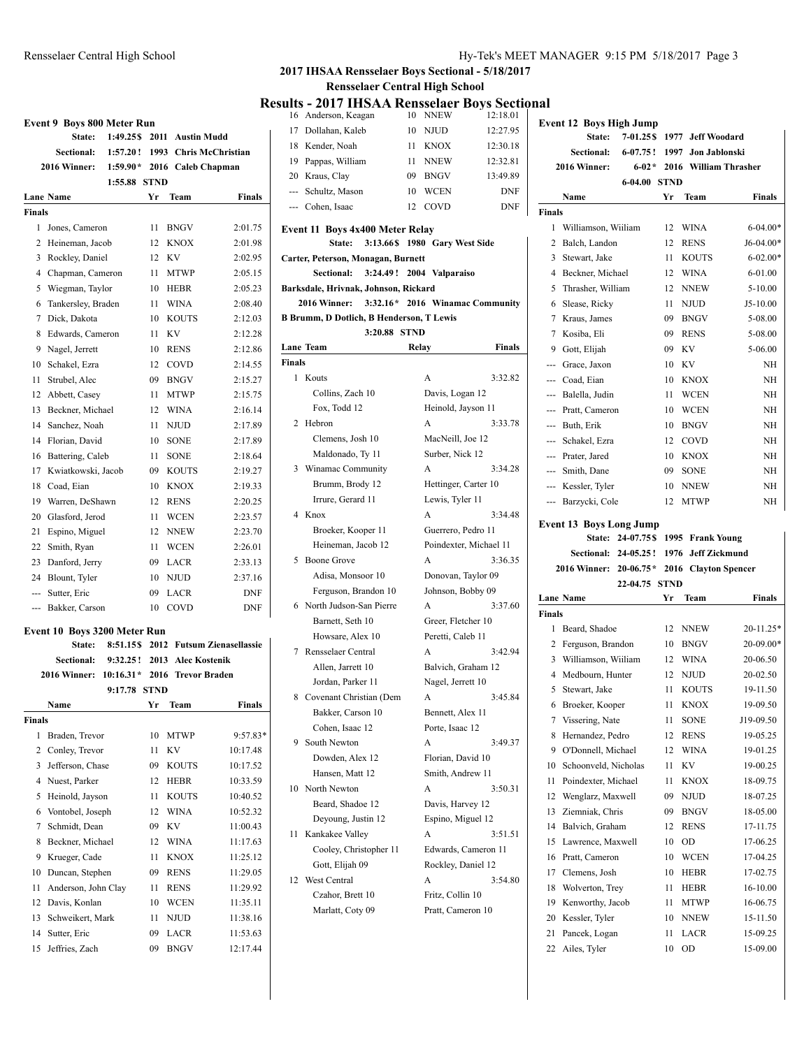|                | <b>Event 9 Boys 800 Meter Run</b> |              |      |                  |                          |
|----------------|-----------------------------------|--------------|------|------------------|--------------------------|
|                | State:                            | 1:49.25\$    |      | 2011 Austin Mudd |                          |
|                | Sectional:                        | 1:57.20 !    | 1993 |                  | <b>Chris McChristian</b> |
|                | 2016 Winner:                      | $1:59.90*$   | 2016 |                  | Caleb Chapman            |
|                |                                   | 1:55.88 STND |      |                  |                          |
|                | <b>Lane Name</b>                  |              | Yr   | Team             | <b>Finals</b>            |
| <b>Finals</b>  |                                   |              |      |                  |                          |
| $\mathbf{1}$   | Jones, Cameron                    |              | 11   | <b>BNGV</b>      | 2:01.75                  |
| $\overline{c}$ | Heineman, Jacob                   |              | 12   | <b>KNOX</b>      | 2:01.98                  |
| 3              | Rockley, Daniel                   |              | 12   | KV               | 2:02.95                  |
| 4              | Chapman, Cameron                  |              | 11   | <b>MTWP</b>      | 2:05.15                  |
| 5              | Wiegman, Taylor                   |              | 10   | <b>HEBR</b>      | 2:05.23                  |
| 6              | Tankersley, Braden                |              | 11   | <b>WINA</b>      | 2:08.40                  |
| 7              | Dick, Dakota                      |              | 10   | <b>KOUTS</b>     | 2:12.03                  |
| 8              | Edwards, Cameron                  |              | 11   | KV               | 2:12.28                  |
| 9              | Nagel, Jerrett                    |              | 10   | <b>RENS</b>      | 2:12.86                  |
| 10             | Schakel, Ezra                     |              | 12   | COVD             | 2:14.55                  |
| 11             | Strubel, Alec                     |              | 09   | <b>BNGV</b>      | 2:15.27                  |
| 12             | Abbett, Casey                     |              | 11   | <b>MTWP</b>      | 2:15.75                  |
| 13             | Beckner, Michael                  |              | 12   | <b>WINA</b>      | 2:16.14                  |
| 14             | Sanchez, Noah                     |              | 11   | <b>NJUD</b>      | 2:17.89                  |
| 14             | Florian, David                    |              | 10   | <b>SONE</b>      | 2:17.89                  |
| 16             | Battering, Caleb                  |              | 11   | <b>SONE</b>      | 2:18.64                  |
| 17             | Kwiatkowski, Jacob                |              | 09   | <b>KOUTS</b>     | 2:19.27                  |
| 18             | Coad, Eian                        |              | 10   | <b>KNOX</b>      | 2:19.33                  |
| 19             | Warren, DeShawn                   |              | 12   | <b>RENS</b>      | 2:20.25                  |
| 20             | Glasford, Jerod                   |              | 11   | <b>WCEN</b>      | 2:23.57                  |
| 21             | Espino, Miguel                    |              | 12   | <b>NNEW</b>      | 2:23.70                  |
| 22             | Smith, Ryan                       |              | 11   | <b>WCEN</b>      | 2:26.01                  |
| 23             | Danford, Jerry                    |              | 09   | <b>LACR</b>      | 2:33.13                  |
| 24             | Blount, Tyler                     |              | 10   | <b>NJUD</b>      | 2:37.16                  |
| $-$            | Sutter, Eric                      |              | 09   | <b>LACR</b>      | <b>DNF</b>               |
| <u></u>        | Bakker, Carson                    |              | 10   | COVD             | <b>DNF</b>               |

#### **Event 10 Boys 3200 Meter Run**

|               | 8:51.15\$<br>State:         | 2012        |                      | <b>Futsum Zienasellassie</b> |
|---------------|-----------------------------|-------------|----------------------|------------------------------|
|               | Sectional:<br>9:32.25!      | 2013        | <b>Alec Kostenik</b> |                              |
|               | 2016 Winner:<br>$10:16.31*$ | 2016        | <b>Trevor Braden</b> |                              |
|               | 9:17.78                     | <b>STND</b> |                      |                              |
|               | Name                        | Yr          | Team                 | Finals                       |
| <b>Finals</b> |                             |             |                      |                              |
| 1             | Braden, Trevor              | 10          | <b>MTWP</b>          | $9:57.83*$                   |
| 2             | Conley, Trevor              | 11          | KV                   | 10:17.48                     |
| 3             | Jefferson, Chase            | 09          | <b>KOUTS</b>         | 10:17.52                     |
| 4             | Nuest, Parker               | 12          | <b>HEBR</b>          | 10:33.59                     |
| 5             | Heinold, Jayson             | 11          | <b>KOUTS</b>         | 10:40.52                     |
| 6             | Vontobel, Joseph            | 12          | <b>WINA</b>          | 10:52.32                     |
| 7             | Schmidt, Dean               | 09          | KV                   | 11:00.43                     |
| 8             | Beckner, Michael            | 12          | <b>WINA</b>          | 11:17.63                     |
| 9             | Krueger, Cade               | 11          | <b>KNOX</b>          | 11:25.12                     |
| 10            | Duncan, Stephen             | 09          | <b>RENS</b>          | 11:29.05                     |
| 11            | Anderson, John Clay         | 11          | <b>RENS</b>          | 11:29.92                     |
| 12            | Davis, Konlan               | 10          | <b>WCEN</b>          | 11:35.11                     |
| 13            | Schweikert, Mark            | 11          | <b>NJUD</b>          | 11:38.16                     |
| 14            | Sutter, Eric                | 09          | <b>LACR</b>          | 11:53.63                     |
| 15            | Jeffries, Zach              | 09          | <b>BNGV</b>          | 12:17.44                     |

#### Rensselaer Central High School Hy-Tek's MEET MANAGER 9:15 PM 5/18/2017 Page 3

# **2017 IHSAA Rensselaer Boys Sectional - 5/18/2017**

**Rensselaer Central High School**

# **Results - 2017 IHSAA Rensselaer Boys Sectional**

|        | suits - 2017 IIISAA Kelisseläel Doys Sect<br>16 Anderson, Keagan |       | 10 NNEW                       | 12:18.01                        |
|--------|------------------------------------------------------------------|-------|-------------------------------|---------------------------------|
|        | 17 Dollahan, Kaleb                                               |       | 10 NJUD                       | 12:27.95                        |
|        | 18 Kender, Noah                                                  | 11    | KNOX                          | 12:30.18                        |
|        | 19 Pappas, William                                               | 11    | NNEW                          | 12:32.81                        |
|        | 20 Kraus, Clay                                                   |       | 09 BNGV                       | 13:49.89                        |
|        | --- Schultz, Mason                                               | 10    | WCEN                          | <b>DNF</b>                      |
|        | --- Cohen, Isaac                                                 | 12    | COVD                          | DNF                             |
|        |                                                                  |       |                               |                                 |
|        | Event 11 Boys 4x400 Meter Relay<br>State:                        |       | 3:13.66\$ 1980 Gary West Side |                                 |
|        | Carter, Peterson, Monagan, Burnett                               |       |                               |                                 |
|        | 3:24.49! 2004 Valparaiso<br>Sectional:                           |       |                               |                                 |
|        | Barksdale, Hrivnak, Johnson, Rickard                             |       |                               |                                 |
|        | 2016 Winner:                                                     |       |                               | 3:32.16* 2016 Winamac Community |
|        | <b>B Brumm, D Dotlich, B Henderson, T Lewis</b>                  |       |                               |                                 |
|        | 3:20.88 STND                                                     |       |                               |                                 |
|        | <b>Lane Team</b>                                                 | Relay |                               | Finals                          |
| Finals |                                                                  |       |                               |                                 |
| 1      | Kouts                                                            |       | A                             | 3:32.82                         |
|        | Collins, Zach 10                                                 |       | Davis, Logan 12               |                                 |
|        | Fox, Todd 12                                                     |       | Heinold, Jayson 11            |                                 |
| 2      | Hebron                                                           |       | A                             | 3:33.78                         |
|        | Clemens, Josh 10                                                 |       | MacNeill, Joe 12              |                                 |
|        |                                                                  |       |                               |                                 |
|        | Maldonado, Ty 11                                                 |       | Surber, Nick 12               |                                 |
| 3      | Winamac Community                                                |       | A                             | 3:34.28                         |
|        | Brumm, Brody 12                                                  |       |                               | Hettinger, Carter 10            |
|        | Irrure, Gerard 11                                                |       | Lewis, Tyler 11               |                                 |
| 4      | Knox                                                             |       | A                             | 3:34.48                         |
|        | Broeker, Kooper 11                                               |       | Guerrero, Pedro 11            |                                 |
|        | Heineman, Jacob 12                                               |       |                               | Poindexter, Michael 11          |
| 5      | Boone Grove                                                      |       | A                             | 3:36.35                         |
|        | Adisa, Monsoor 10                                                |       |                               | Donovan, Taylor 09              |
|        | Ferguson, Brandon 10                                             |       | Johnson, Bobby 09             |                                 |
|        | 6 North Judson-San Pierre                                        |       | A                             | 3:37.60                         |
|        | Barnett, Seth 10                                                 |       | Greer, Fletcher 10            |                                 |
|        | Howsare, Alex 10                                                 |       | Peretti, Caleb 11             |                                 |
| 7      | Rensselaer Central                                               |       | A                             | 3:42.94                         |
|        | Allen, Jarrett 10                                                |       |                               | Balvich, Graham 12              |
|        | Jordan, Parker 11                                                |       | Nagel, Jerrett 10             |                                 |
| 8      | Covenant Christian (Dem                                          |       | A                             | 3:45.84                         |
|        | Bakker, Carson 10                                                |       | Bennett, Alex 11              |                                 |
|        | Cohen, Isaac 12                                                  |       | Porte, Isaac 12               |                                 |
| 9      | South Newton                                                     |       | A                             | 3:49.37                         |
|        | Dowden, Alex 12                                                  |       | Florian, David 10             |                                 |
|        | Hansen, Matt 12                                                  |       | Smith, Andrew 11              |                                 |
| 10     | North Newton                                                     |       | A                             | 3:50.31                         |
|        | Beard, Shadoe 12                                                 |       | Davis, Harvey 12              |                                 |
|        | Deyoung, Justin 12                                               |       | Espino, Miguel 12             |                                 |
| 11     | Kankakee Valley                                                  |       | A                             | 3:51.51                         |
|        | Cooley, Christopher 11                                           |       |                               | Edwards, Cameron 11             |
|        | Gott, Elijah 09                                                  |       | Rockley, Daniel 12            |                                 |
| 12     | West Central                                                     |       | A                             | 3:54.80                         |
|        | Czahor, Brett 10                                                 |       | Fritz, Collin 10              |                                 |
|        | Marlatt, Coty 09                                                 |       | Pratt, Cameron 10             |                                 |
|        |                                                                  |       |                               |                                 |

|               | <b>Event 12 Boys High Jump</b>  |                        |             |                        |                      |
|---------------|---------------------------------|------------------------|-------------|------------------------|----------------------|
|               | State:                          | $7 - 01.25S$           |             | 1977 Jeff Woodard      |                      |
|               | <b>Sectional:</b>               | $6-07.75!$ 1997        |             | Jon Jablonski          |                      |
|               | 2016 Winner:                    | $6 - 02 *$             |             | 2016 William Thrasher  |                      |
|               |                                 | 6-04.00                | <b>STND</b> |                        |                      |
|               | Name                            |                        | Yr          | <b>Team</b>            | <b>Finals</b>        |
| <b>Finals</b> |                                 |                        |             |                        |                      |
| 1             | Williamson, Wiiliam             |                        | 12          | <b>WINA</b>            | $6-04.00*$           |
| 2             | Balch, Landon                   |                        | 12          | <b>RENS</b>            | $J6-04.00*$          |
| 3             | Stewart, Jake                   |                        | 11          | <b>KOUTS</b>           | $6 - 02.00*$         |
| 4             | Beckner, Michael                |                        | 12          | <b>WINA</b>            | $6 - 01.00$          |
| 5             | Thrasher, William               |                        | 12          | <b>NNEW</b>            | 5-10.00              |
| 6             | Slease, Ricky                   |                        | 11          | <b>NJUD</b>            | J5-10.00             |
| 7             | Kraus, James                    |                        | 09          | <b>BNGV</b>            | 5-08.00              |
| 7             | Kosiba, Eli                     |                        | 09          | <b>RENS</b>            | 5-08.00              |
| 9             | Gott, Elijah                    |                        | 09          | <b>KV</b>              | 5-06.00              |
| ---           | Grace, Jaxon                    |                        | 10          | <b>KV</b>              | NΗ                   |
| ---           | Coad, Eian                      |                        | 10          | <b>KNOX</b>            | NΗ                   |
| ---           | Balella, Judin                  |                        | 11          | <b>WCEN</b>            | NH                   |
| ---           | Pratt, Cameron                  |                        | 10          | WCEN                   | NH                   |
|               | --- Buth, Erik                  |                        | 10          | <b>BNGV</b>            | NH                   |
|               | --- Schakel, Ezra               |                        | 12          | COVD                   | NΗ                   |
|               | --- Prater, Jared               |                        | 10          | <b>KNOX</b>            | NH                   |
|               | --- Smith, Dane                 |                        | 09          | <b>SONE</b>            | NH                   |
|               | --- Kessler, Tyler              |                        | 10          | <b>NNEW</b>            | NH                   |
|               | Barzycki, Cole                  |                        | 12          | <b>MTWP</b>            | NH                   |
|               | <b>Event 13 Boys Long Jump</b>  |                        |             |                        |                      |
|               |                                 | State: 24-07.75\$ 1995 |             | <b>Frank Young</b>     |                      |
|               |                                 |                        |             |                        |                      |
|               |                                 | Sectional: 24-05.25!   | 1976        | <b>Jeff Zickmund</b>   |                      |
|               | 2016 Winner: 20-06.75 *         |                        | 2016        | <b>Clayton Spencer</b> |                      |
|               |                                 | 22-04.75               | <b>STND</b> |                        |                      |
|               | <b>Lane Name</b>                |                        | Yr          | <b>Team</b>            | Finals               |
| <b>Finals</b> |                                 |                        |             |                        |                      |
| 1             | Beard, Shadoe                   |                        |             | 12 NNEW                | 20-11.25*            |
| 2             | Ferguson, Brandon               |                        |             | 10 BNGV                | 20-09.00*            |
| 3             | Williamson, Wiiliam             |                        |             | 12 WINA                | 20-06.50             |
| 4             | Medbourn, Hunter                |                        | 12          | <b>NJUD</b>            | 20-02.50             |
| 5             | Stewart, Jake                   |                        | 11          | <b>KOUTS</b>           | 19-11.50             |
|               | 6 Broeker, Kooper               |                        |             | 11 KNOX                | 19-09.50             |
| 7             | Vissering, Nate                 |                        | 11          | SONE                   | J19-09.50            |
| 8             | Hernandez, Pedro                |                        | 12          | RENS                   | 19-05.25             |
| 9             | O'Donnell, Michael              |                        | 12          | WINA                   | 19-01.25             |
| 10            | Schoonveld, Nicholas            |                        | 11          | KV                     | 19-00.25             |
| 11            | Poindexter, Michael             |                        | 11          | KNOX                   | 18-09.75             |
| 12            | Wenglarz, Maxwell               |                        | 09          | NJUD                   | 18-07.25             |
| 13            | Ziemniak, Chris                 |                        | 09          | BNGV                   | 18-05.00             |
| 14            | Balvich. Graham                 |                        | 12          | <b>RENS</b>            | 17-11.75             |
| 15            | Lawrence, Maxwell               |                        | 10          | OD                     | 17-06.25             |
| 16            | Pratt, Cameron                  |                        | 10          | WCEN                   | 17-04.25             |
| 17            | Clemens, Josh                   |                        | 10          | HEBR                   | 17-02.75             |
| 18            | Wolverton, Trey                 |                        | 11          | HEBR                   | 16-10.00             |
| 19            | Kenworthy, Jacob                |                        | 11          | MTWP                   | 16-06.75             |
| 20<br>21      | Kessler, Tyler<br>Pancek, Logan |                        | 10<br>11    | NNEW<br>LACR           | 15-11.50<br>15-09.25 |